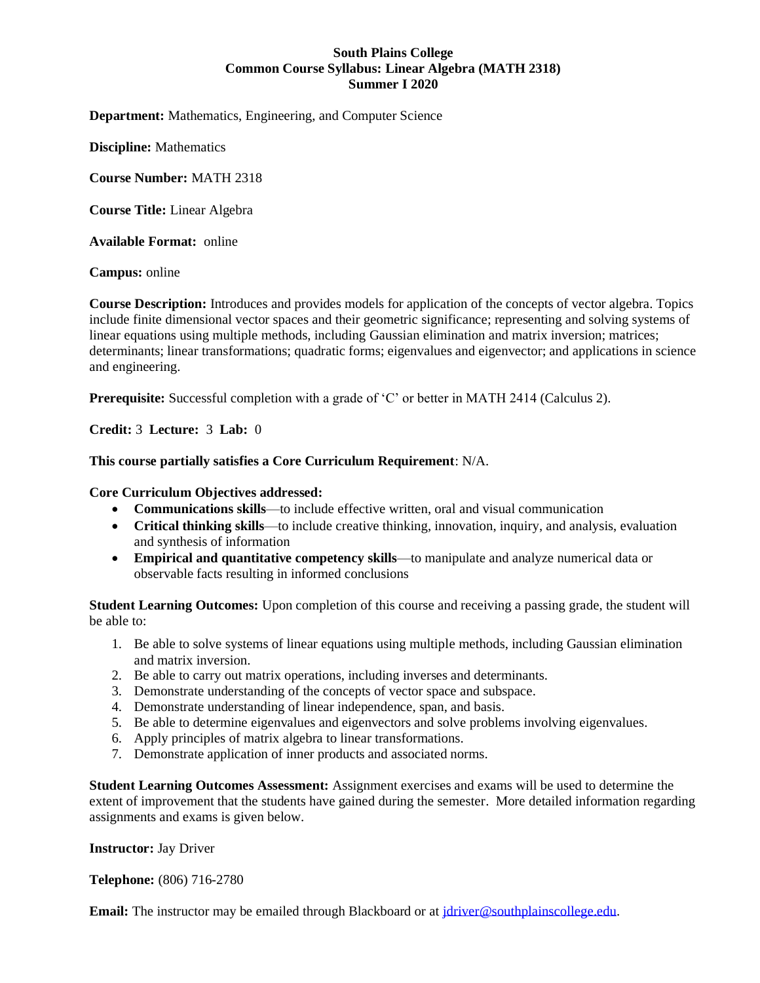## **South Plains College Common Course Syllabus: Linear Algebra (MATH 2318) Summer I 2020**

**Department:** Mathematics, Engineering, and Computer Science

**Discipline:** Mathematics

**Course Number:** MATH 2318

**Course Title:** Linear Algebra

**Available Format:** online

**Campus:** online

**Course Description:** Introduces and provides models for application of the concepts of vector algebra. Topics include finite dimensional vector spaces and their geometric significance; representing and solving systems of linear equations using multiple methods, including Gaussian elimination and matrix inversion; matrices; determinants; linear transformations; quadratic forms; eigenvalues and eigenvector; and applications in science and engineering.

**Prerequisite:** Successful completion with a grade of 'C' or better in MATH 2414 (Calculus 2).

**Credit:** 3 **Lecture:** 3 **Lab:** 0

## **This course partially satisfies a Core Curriculum Requirement**: N/A.

## **Core Curriculum Objectives addressed:**

- **Communications skills**—to include effective written, oral and visual communication
- **Critical thinking skills**—to include creative thinking, innovation, inquiry, and analysis, evaluation and synthesis of information
- **Empirical and quantitative competency skills**—to manipulate and analyze numerical data or observable facts resulting in informed conclusions

**Student Learning Outcomes:** Upon completion of this course and receiving a passing grade, the student will be able to:

- 1. Be able to solve systems of linear equations using multiple methods, including Gaussian elimination and matrix inversion.
- 2. Be able to carry out matrix operations, including inverses and determinants.
- 3. Demonstrate understanding of the concepts of vector space and subspace.
- 4. Demonstrate understanding of linear independence, span, and basis.
- 5. Be able to determine eigenvalues and eigenvectors and solve problems involving eigenvalues.
- 6. Apply principles of matrix algebra to linear transformations.
- 7. Demonstrate application of inner products and associated norms.

**Student Learning Outcomes Assessment:** Assignment exercises and exams will be used to determine the extent of improvement that the students have gained during the semester. More detailed information regarding assignments and exams is given below.

## **Instructor:** Jay Driver

**Telephone:** (806) 716-2780

**Email:** The instructor may be emailed through Blackboard or a[t jdriver@southplainscollege.edu.](mailto:jdriver@southplainscollege.edu)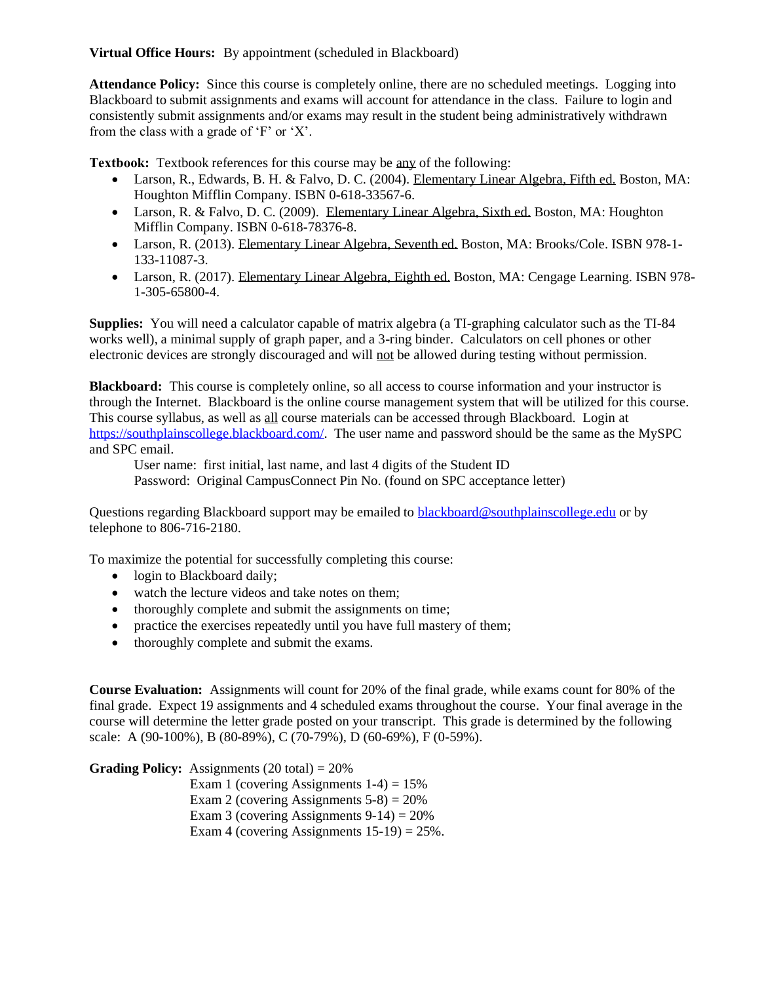**Virtual Office Hours:** By appointment (scheduled in Blackboard)

**Attendance Policy:** Since this course is completely online, there are no scheduled meetings. Logging into Blackboard to submit assignments and exams will account for attendance in the class. Failure to login and consistently submit assignments and/or exams may result in the student being administratively withdrawn from the class with a grade of 'F' or 'X'.

**Textbook:** Textbook references for this course may be any of the following:

- Larson, R., Edwards, B. H. & Falvo, D. C. (2004). Elementary Linear Algebra, Fifth ed. Boston, MA: Houghton Mifflin Company. ISBN 0-618-33567-6.
- Larson, R. & Falvo, D. C. (2009). Elementary Linear Algebra, Sixth ed. Boston, MA: Houghton Mifflin Company. ISBN 0-618-78376-8.
- Larson, R. (2013). Elementary Linear Algebra, Seventh ed. Boston, MA: Brooks/Cole. ISBN 978-1- 133-11087-3.
- Larson, R. (2017). Elementary Linear Algebra, Eighth ed. Boston, MA: Cengage Learning. ISBN 978-1-305-65800-4.

**Supplies:** You will need a calculator capable of matrix algebra (a TI-graphing calculator such as the TI-84 works well), a minimal supply of graph paper, and a 3-ring binder. Calculators on cell phones or other electronic devices are strongly discouraged and will not be allowed during testing without permission.

**Blackboard:** This course is completely online, so all access to course information and your instructor is through the Internet. Blackboard is the online course management system that will be utilized for this course. This course syllabus, as well as all course materials can be accessed through Blackboard. Login at [https://southplainscollege.blackboard.com/.](https://southplainscollege.blackboard.com/) The user name and password should be the same as the MySPC and SPC email.

User name: first initial, last name, and last 4 digits of the Student ID

Password: Original CampusConnect Pin No. (found on SPC acceptance letter)

Questions regarding Blackboard support may be emailed to **blackboard@southplainscollege.edu** or by telephone to 806-716-2180.

To maximize the potential for successfully completing this course:

- login to Blackboard daily;
- watch the lecture videos and take notes on them;
- thoroughly complete and submit the assignments on time;
- practice the exercises repeatedly until you have full mastery of them;
- thoroughly complete and submit the exams.

**Course Evaluation:** Assignments will count for 20% of the final grade, while exams count for 80% of the final grade. Expect 19 assignments and 4 scheduled exams throughout the course. Your final average in the course will determine the letter grade posted on your transcript. This grade is determined by the following scale: A (90-100%), B (80-89%), C (70-79%), D (60-69%), F (0-59%).

**Grading Policy:** Assignments (20 total) = 20%

Exam 1 (covering Assignments  $1-4$ ) = 15% Exam 2 (covering Assignments  $5-8$ ) =  $20\%$ Exam 3 (covering Assignments  $9-14$ ) = 20% Exam 4 (covering Assignments  $15-19$ ) =  $25\%$ .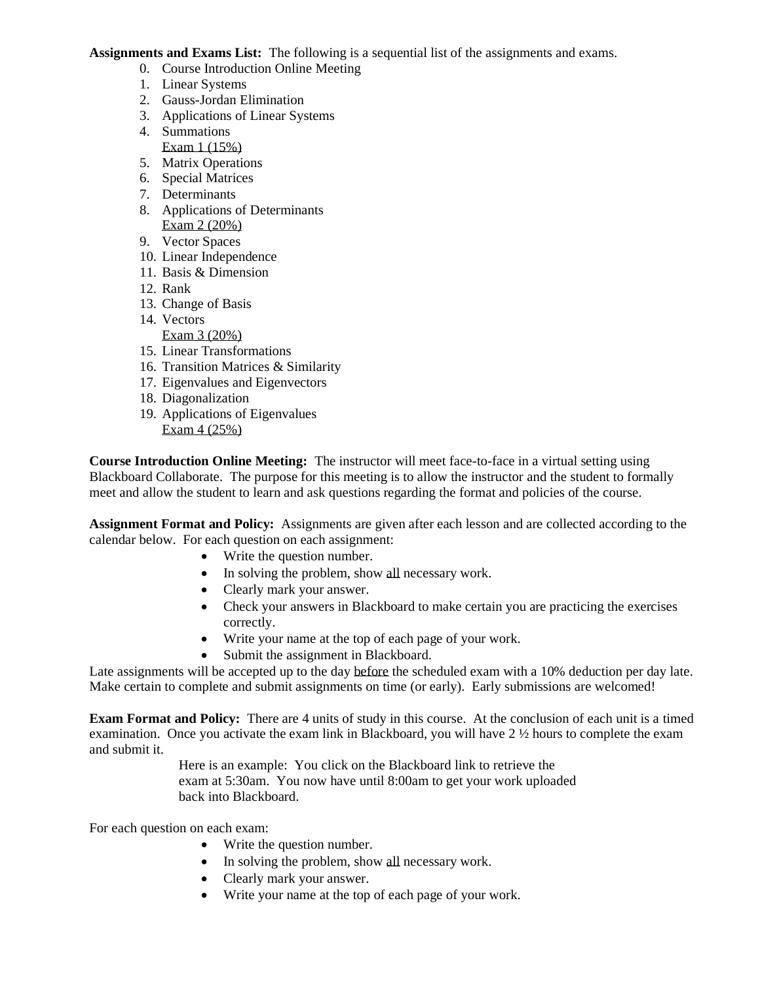**Assignments and Exams List:** The following is a sequential list of the assignments and exams.

- 0. Course Introduction Online Meeting
- 1. Linear Systems
- 2. Gauss-Jordan Elimination
- 3. Applications of Linear Systems
- 4. Summations Exam 1 (15%)
- 5. Matrix Operations
- 6. Special Matrices
- 7. Determinants
- 8. Applications of Determinants Exam 2 (20%)
- 9. Vector Spaces
- 10. Linear Independence
- 11. Basis & Dimension
- 12. Rank
- 13. Change of Basis
- 14. Vectors

Exam 3 (20%)

- 15. Linear Transformations
- 16. Transition Matrices & Similarity
- 17. Eigenvalues and Eigenvectors
- 18. Diagonalization
- 19. Applications of Eigenvalues Exam 4 (25%)

**Course Introduction Online Meeting:** The instructor will meet face-to-face in a virtual setting using Blackboard Collaborate. The purpose for this meeting is to allow the instructor and the student to formally meet and allow the student to learn and ask questions regarding the format and policies of the course.

**Assignment Format and Policy:** Assignments are given after each lesson and are collected according to the calendar below. For each question on each assignment:

- Write the question number.
- In solving the problem, show all necessary work.
- Clearly mark your answer.
- Check your answers in Blackboard to make certain you are practicing the exercises correctly.
- Write your name at the top of each page of your work.
- Submit the assignment in Blackboard.

Late assignments will be accepted up to the day before the scheduled exam with a 10% deduction per day late. Make certain to complete and submit assignments on time (or early). Early submissions are welcomed!

**Exam Format and Policy:** There are 4 units of study in this course. At the conclusion of each unit is a timed examination. Once you activate the exam link in Blackboard, you will have 2 ½ hours to complete the exam and submit it.

> Here is an example: You click on the Blackboard link to retrieve the exam at 5:30am. You now have until 8:00am to get your work uploaded back into Blackboard.

For each question on each exam:

- Write the question number.
- In solving the problem, show all necessary work.
- Clearly mark your answer.
- Write your name at the top of each page of your work.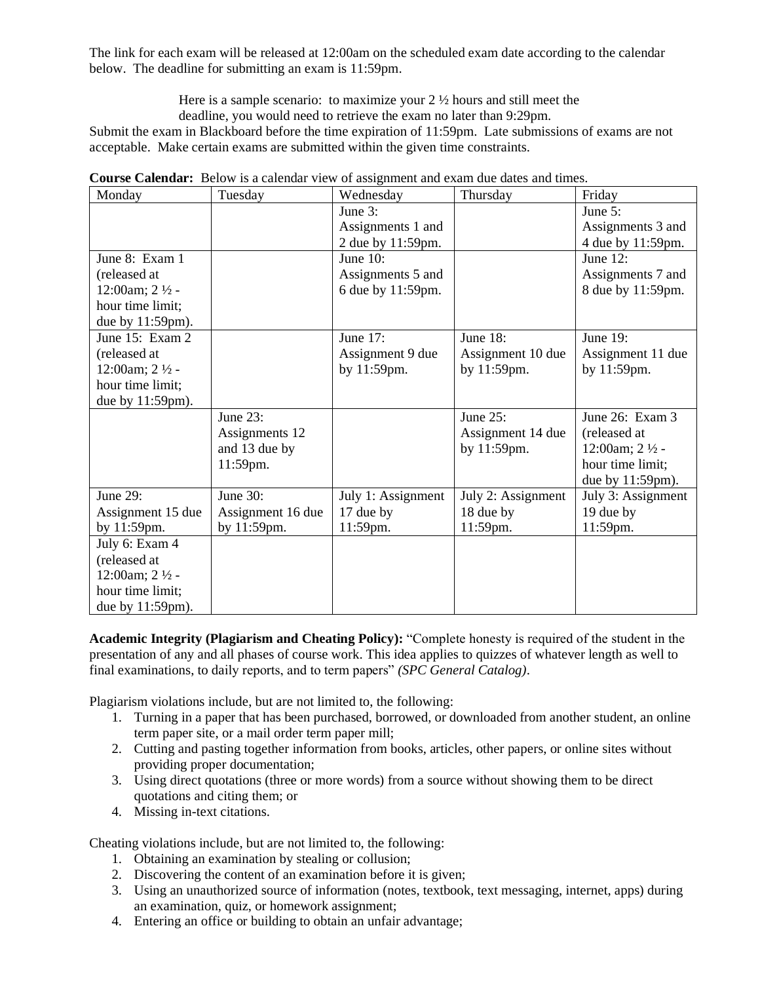The link for each exam will be released at 12:00am on the scheduled exam date according to the calendar below. The deadline for submitting an exam is 11:59pm.

> Here is a sample scenario: to maximize your 2 ½ hours and still meet the deadline, you would need to retrieve the exam no later than 9:29pm.

Submit the exam in Blackboard before the time expiration of 11:59pm. Late submissions of exams are not acceptable. Make certain exams are submitted within the given time constraints.

| Monday                    | Tuesday           | Wednesday          | Thursday           | Friday                    |
|---------------------------|-------------------|--------------------|--------------------|---------------------------|
|                           |                   | June 3:            |                    | June 5:                   |
|                           |                   | Assignments 1 and  |                    | Assignments 3 and         |
|                           |                   | 2 due by 11:59pm.  |                    | 4 due by 11:59pm.         |
| June 8: Exam 1            |                   | June $10$ :        |                    | June $12$ :               |
| (released at              |                   | Assignments 5 and  |                    | Assignments 7 and         |
| 12:00am; $2\frac{1}{2}$ - |                   | 6 due by 11:59pm.  |                    | 8 due by 11:59pm.         |
| hour time limit;          |                   |                    |                    |                           |
| due by 11:59pm).          |                   |                    |                    |                           |
| June $15:$ Exam $2$       |                   | June 17:           | June 18:           | June 19:                  |
| (released at              |                   | Assignment 9 due   | Assignment 10 due  | Assignment 11 due         |
| 12:00am; $2\frac{1}{2}$ - |                   | by 11:59pm.        | by 11:59pm.        | by 11:59pm.               |
| hour time limit;          |                   |                    |                    |                           |
| due by 11:59pm).          |                   |                    |                    |                           |
|                           | June 23:          |                    | June 25:           | June 26: Exam 3           |
|                           | Assignments 12    |                    | Assignment 14 due  | (released at              |
|                           | and 13 due by     |                    | by 11:59pm.        | 12:00am; $2\frac{1}{2}$ - |
|                           | 11:59pm.          |                    |                    | hour time limit;          |
|                           |                   |                    |                    | due by $11:59$ pm).       |
| June 29:                  | June 30:          | July 1: Assignment | July 2: Assignment | July 3: Assignment        |
| Assignment 15 due         | Assignment 16 due | 17 due by          | 18 due by          | 19 due by                 |
| by 11:59pm.               | by 11:59pm.       | 11:59pm.           | 11:59pm.           | 11:59pm.                  |
| July 6: Exam 4            |                   |                    |                    |                           |
| (released at              |                   |                    |                    |                           |
| 12:00am; $2\frac{1}{2}$ - |                   |                    |                    |                           |
| hour time limit;          |                   |                    |                    |                           |
| due by $11:59 \text{pm}.$ |                   |                    |                    |                           |

**Course Calendar:** Below is a calendar view of assignment and exam due dates and times.

**Academic Integrity (Plagiarism and Cheating Policy):** "Complete honesty is required of the student in the presentation of any and all phases of course work. This idea applies to quizzes of whatever length as well to final examinations, to daily reports, and to term papers" *(SPC General Catalog)*.

Plagiarism violations include, but are not limited to, the following:

- 1. Turning in a paper that has been purchased, borrowed, or downloaded from another student, an online term paper site, or a mail order term paper mill;
- 2. Cutting and pasting together information from books, articles, other papers, or online sites without providing proper documentation;
- 3. Using direct quotations (three or more words) from a source without showing them to be direct quotations and citing them; or
- 4. Missing in-text citations.

Cheating violations include, but are not limited to, the following:

- 1. Obtaining an examination by stealing or collusion;
- 2. Discovering the content of an examination before it is given;
- 3. Using an unauthorized source of information (notes, textbook, text messaging, internet, apps) during an examination, quiz, or homework assignment;
- 4. Entering an office or building to obtain an unfair advantage;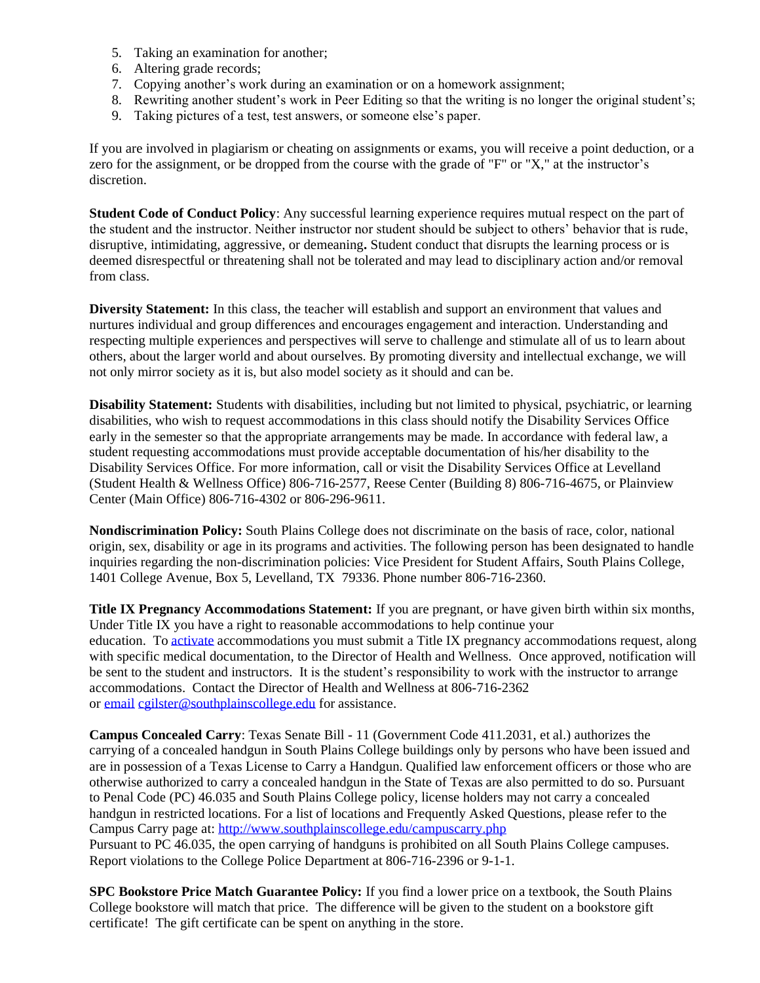- 5. Taking an examination for another;
- 6. Altering grade records;
- 7. Copying another's work during an examination or on a homework assignment;
- 8. Rewriting another student's work in Peer Editing so that the writing is no longer the original student's;
- 9. Taking pictures of a test, test answers, or someone else's paper.

If you are involved in plagiarism or cheating on assignments or exams, you will receive a point deduction, or a zero for the assignment, or be dropped from the course with the grade of "F" or "X," at the instructor's discretion.

**Student Code of Conduct Policy**: Any successful learning experience requires mutual respect on the part of the student and the instructor. Neither instructor nor student should be subject to others' behavior that is rude, disruptive, intimidating, aggressive, or demeaning**.** Student conduct that disrupts the learning process or is deemed disrespectful or threatening shall not be tolerated and may lead to disciplinary action and/or removal from class.

**Diversity Statement:** In this class, the teacher will establish and support an environment that values and nurtures individual and group differences and encourages engagement and interaction. Understanding and respecting multiple experiences and perspectives will serve to challenge and stimulate all of us to learn about others, about the larger world and about ourselves. By promoting diversity and intellectual exchange, we will not only mirror society as it is, but also model society as it should and can be.

**Disability Statement:** Students with disabilities, including but not limited to physical, psychiatric, or learning disabilities, who wish to request accommodations in this class should notify the Disability Services Office early in the semester so that the appropriate arrangements may be made. In accordance with federal law, a student requesting accommodations must provide acceptable documentation of his/her disability to the Disability Services Office. For more information, call or visit the Disability Services Office at Levelland (Student Health & Wellness Office) 806-716-2577, Reese Center (Building 8) 806-716-4675, or Plainview Center (Main Office) 806-716-4302 or 806-296-9611.

**Nondiscrimination Policy:** South Plains College does not discriminate on the basis of race, color, national origin, sex, disability or age in its programs and activities. The following person has been designated to handle inquiries regarding the non-discrimination policies: Vice President for Student Affairs, South Plains College, 1401 College Avenue, Box 5, Levelland, TX 79336. Phone number 806-716-2360.

**Title IX Pregnancy Accommodations Statement:** If you are pregnant, or have given birth within six months, Under Title IX you have a right to reasonable accommodations to help continue your education. To [activate](http://www.southplainscollege.edu/employees/manualshandbooks/facultyhandbook/sec4.php) accommodations you must submit a Title IX pregnancy accommodations request, along with specific medical documentation, to the Director of Health and Wellness. Once approved, notification will be sent to the student and instructors. It is the student's responsibility to work with the instructor to arrange accommodations. Contact the Director of Health and Wellness at 806-716-2362 or [email](http://www.southplainscollege.edu/employees/manualshandbooks/facultyhandbook/sec4.php) [cgilster@southplainscollege.edu](mailto:cgilster@southplainscollege.edu) for assistance.

**Campus Concealed Carry**: Texas Senate Bill - 11 (Government Code 411.2031, et al.) authorizes the carrying of a concealed handgun in South Plains College buildings only by persons who have been issued and are in possession of a Texas License to Carry a Handgun. Qualified law enforcement officers or those who are otherwise authorized to carry a concealed handgun in the State of Texas are also permitted to do so. Pursuant to Penal Code (PC) 46.035 and South Plains College policy, license holders may not carry a concealed handgun in restricted locations. For a list of locations and Frequently Asked Questions, please refer to the Campus Carry page at: <http://www.southplainscollege.edu/campuscarry.php>

Pursuant to PC 46.035, the open carrying of handguns is prohibited on all South Plains College campuses. Report violations to the College Police Department at 806-716-2396 or 9-1-1.

**SPC Bookstore Price Match Guarantee Policy:** If you find a lower price on a textbook, the South Plains College bookstore will match that price. The difference will be given to the student on a bookstore gift certificate! The gift certificate can be spent on anything in the store.